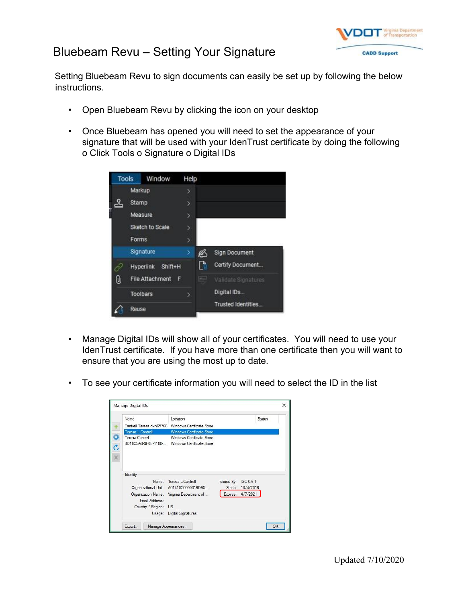## Bluebeam Revu – Setting Your Signature



Setting Bluebeam Revu to sign documents can easily be set up by following the below instructions.

- Open Bluebeam Revu by clicking the icon on your desktop
- Once Bluebeam has opened you will need to set the appearance of your signature that will be used with your IdenTrust certificate by doing the following o Click Tools o Signature o Digital IDs

| <b>Tools</b> | Window                      | Help |   |                           |
|--------------|-----------------------------|------|---|---------------------------|
|              | Markup                      | >    |   |                           |
|              | Stamp                       | >    |   |                           |
|              | Measure                     | ÿ    |   |                           |
|              | Sketch to Scale             | ۶    |   |                           |
|              | Forms                       | >    |   |                           |
|              | Signature                   |      | 丝 | <b>Sign Document</b>      |
|              | <b>Hyperlink</b><br>Shift+H |      | B | Certify Document          |
| υ            | <b>File Attachment</b><br>F |      | 트 | Validate Signatures       |
|              | <b>Toolbars</b>             | 5    |   | Digital IDs               |
|              | Reuse                       |      |   | <b>Trusted Identities</b> |

- Manage Digital IDs will show all of your certificates. You will need to use your IdenTrust certificate. If you have more than one certificate then you will want to ensure that you are using the most up to date.
- To see your certificate information you will need to select the ID in the list

| Name                                   | Location                                                                   |                     |                   | Status |
|----------------------------------------|----------------------------------------------------------------------------|---------------------|-------------------|--------|
| Cantrell Teresa gkn65768               | Windows Certificate Store                                                  |                     |                   |        |
| Teresa L Cantrell                      | <b>Windows Certificate Store</b>                                           |                     |                   |        |
| <b>Teresa Cantrell</b>                 | Windows Certificate Store<br>8D18C9A9-9F0B-4180- Windows Certificate Store |                     |                   |        |
|                                        |                                                                            |                     |                   |        |
| Identity                               | Name: Teresa L Cantrell                                                    | Issued By: IGC CA 1 |                   |        |
|                                        | Organizational Unit: A01410C0000016D98                                     |                     | Starts: 10/4/2019 |        |
|                                        | Organization Name: Virginia Department of                                  |                     | Expires: 4/7/2021 |        |
| Email Address:<br>Country / Region: US |                                                                            |                     |                   |        |